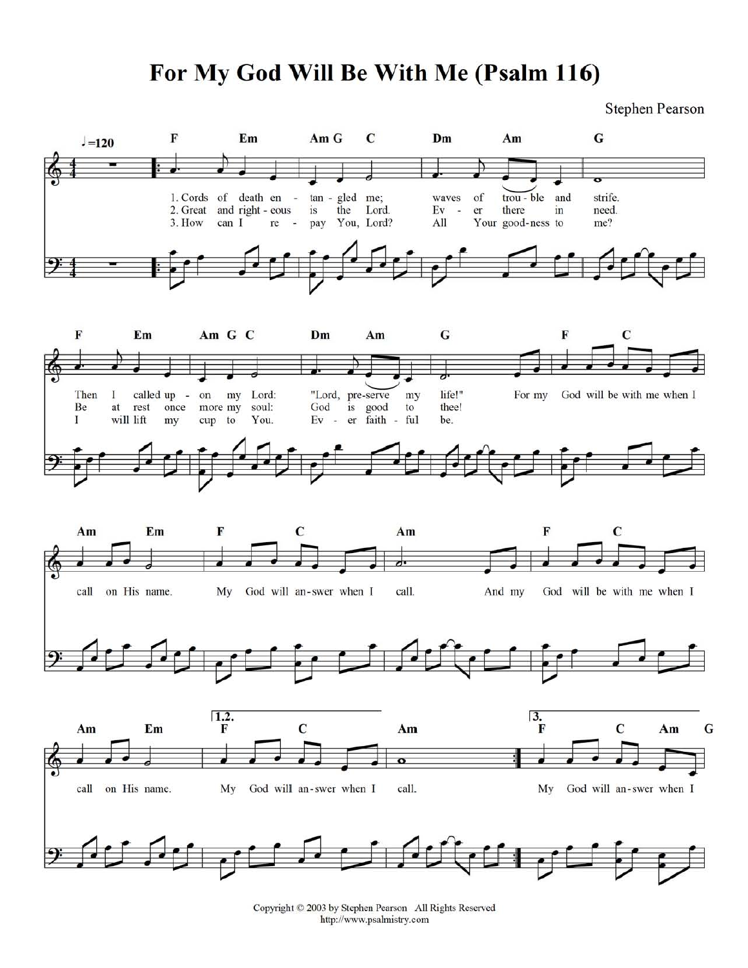## For My God Will Be With Me (Psalm 116)

**Stephen Pearson** 



Copyright © 2003 by Stephen Pearson All Rights Reserved http://www.psalmistry.com